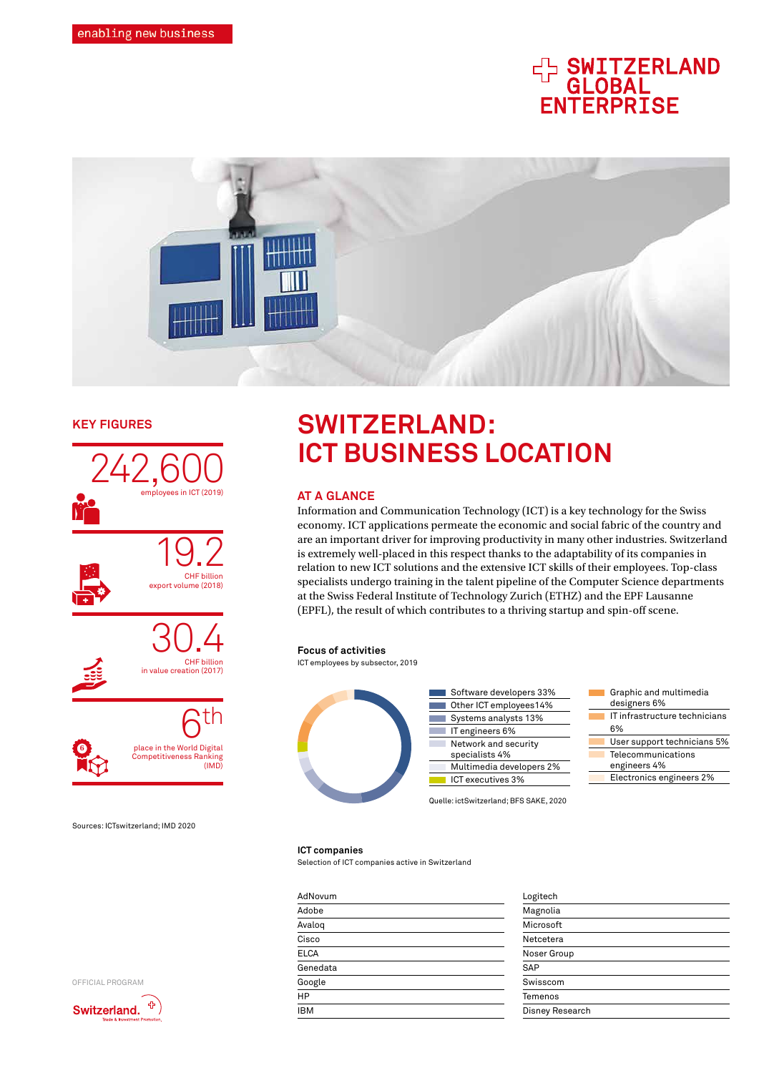# **HA SWITZERLAND<br>GLOBAL<br>ENTERPRISE**



#### **KEY FIGURES**





Sources: ICTswitzerland; IMD 2020

**6**

## **SWITZERLAND: ICT BUSINESS LOCATION**

#### **AT A GLANCE**

Information and Communication Technology (ICT) is a key technology for the Swiss economy. ICT applications permeate the economic and social fabric of the country and are an important driver for improving productivity in many other industries. Switzerland is extremely well-placed in this respect thanks to the adaptability of its companies in relation to new ICT solutions and the extensive ICT skills of their employees. Top-class specialists undergo training in the talent pipeline of the Computer Science departments at the Swiss Federal Institute of Technology Zurich (ETHZ) and the EPF Lausanne (EPFL), the result of which contributes to a thriving startup and spin-off scene.

#### **Focus of activities**

ICT employees by subsector, 2019



#### **ICT companies**

Selection of ICT companies active in Switzerland

| AdNovum     | Logitech        |
|-------------|-----------------|
| Adobe       | Magnolia        |
| Avalog      | Microsoft       |
| Cisco       | Netcetera       |
| <b>ELCA</b> | Noser Group     |
| Genedata    | SAP             |
| Google      | Swisscom        |
| HP          | Temenos         |
| <b>IBM</b>  | Disney Research |
|             |                 |

| Logitech        |  |
|-----------------|--|
| Magnolia        |  |
| Microsoft       |  |
| Netcetera       |  |
| Noser Group     |  |
| SAP             |  |
| Swisscom        |  |
| Temenos         |  |
| Disney Research |  |
|                 |  |



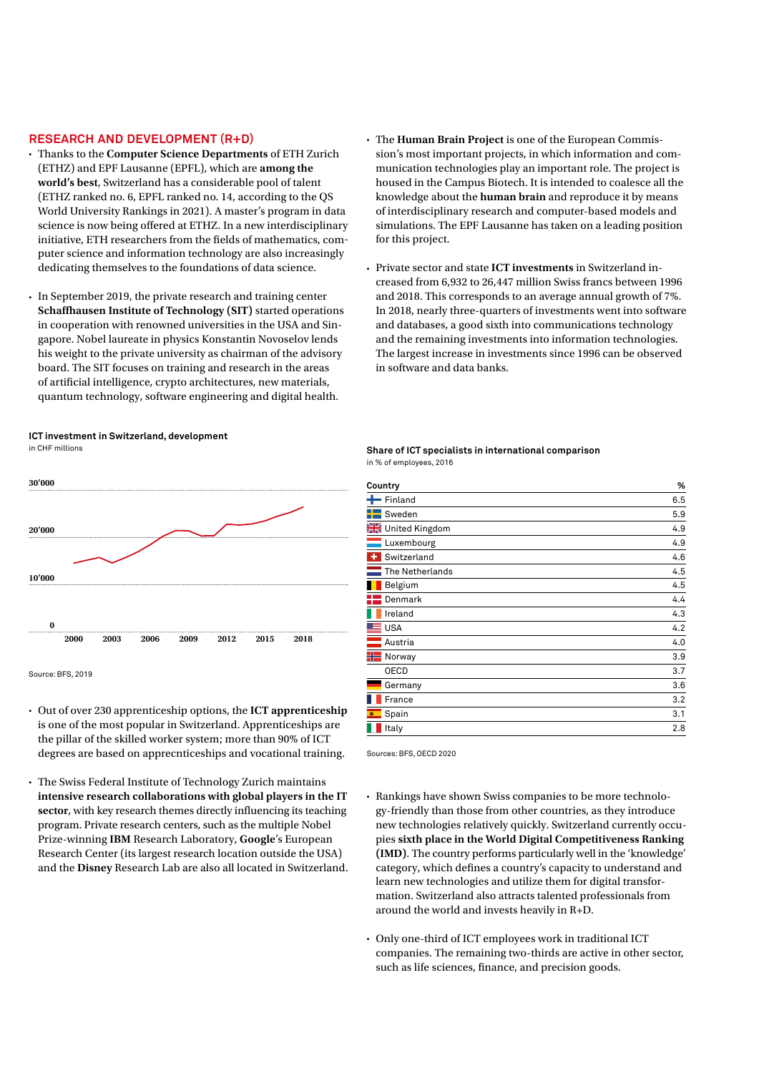#### **RESEARCH AND DEVELOPMENT (R+D)**

- Thanks to the **Computer Science Departments** of ETH Zurich (ETHZ) and EPF Lausanne (EPFL), which are **among the world's best**, Switzerland has a considerable pool of talent (ETHZ ranked no. 6, EPFL ranked no. 14, according to the QS World University Rankings in 2021). A master's program in data science is now being offered at ETHZ. In a new interdisciplinary initiative, ETH researchers from the fields of mathematics, computer science and information technology are also increasingly dedicating themselves to the foundations of data science.
- In September 2019, the private research and training center **Schaffhausen Institute of Technology (SIT)** started operations in cooperation with renowned universities in the USA and Singapore. Nobel laureate in physics Konstantin Novoselov lends his weight to the private university as chairman of the advisory board. The SIT focuses on training and research in the areas of artificial intelligence, crypto architectures, new materials, quantum technology, software engineering and digital health.
- The **Human Brain Project** is one of the European Commission's most important projects, in which information and communication technologies play an important role. The project is housed in the Campus Biotech. It is intended to coalesce all the knowledge about the **human brain** and reproduce it by means of interdisciplinary research and computer-based models and simulations. The EPF Lausanne has taken on a leading position for this project.
- Private sector and state **ICT investments** in Switzerland increased from 6,932 to 26,447 million Swiss francs between 1996 and 2018. This corresponds to an average annual growth of 7%. In 2018, nearly three-quarters of investments went into software and databases, a good sixth into communications technology and the remaining investments into information technologies. The largest increase in investments since 1996 can be observed in software and data banks.

#### **ICT investment in Switzerland, development** in CHF millions



Source: BES, 2019

- Out of over 230 apprenticeship options, the **ICT apprenticeship** is one of the most popular in Switzerland. Apprenticeships are the pillar of the skilled worker system; more than 90% of ICT degrees are based on apprecnticeships and vocational training.
- The Swiss Federal Institute of Technology Zurich maintains **intensive research collaborations with global players in the IT sector**, with key research themes directly influencing its teaching program. Private research centers, such as the multiple Nobel Prize-winning **IBM** Research Laboratory, **Google**'s European Research Center (its largest research location outside the USA) and the **Disney** Research Lab are also all located in Switzerland.

#### **Share of ICT specialists in international comparison** in % of employees, 2016

| Country          | %   |
|------------------|-----|
| $H$ Finland      | 6.5 |
| Sweden           | 5.9 |
| United Kingdom   | 4.9 |
| Luxembourg       | 4.9 |
| ٠<br>Switzerland | 4.6 |
| The Netherlands  | 4.5 |
| Belgium          | 4.5 |
| Denmark          | 4.4 |
| Ireland          | 4.3 |
| <b>USA</b>       | 4.2 |
| Austria          | 4.0 |
| Norway           | 3.9 |
| <b>OECD</b>      | 3.7 |
| Germany          | 3.6 |
| France           | 3.2 |
| Spain<br>霍       | 3.1 |
| Italy            | 2.8 |

Sources: BES, OECD 2020

- Rankings have shown Swiss companies to be more technology-friendly than those from other countries, as they introduce new technologies relatively quickly. Switzerland currently occupies **sixth place in the World Digital Competitiveness Ranking (IMD)**. The country performs particularly well in the 'knowledge' category, which defines a country's capacity to understand and learn new technologies and utilize them for digital transformation. Switzerland also attracts talented professionals from around the world and invests heavily in R+D.
- Only one-third of ICT employees work in traditional ICT companies. The remaining two-thirds are active in other sector, such as life sciences, finance, and precision goods.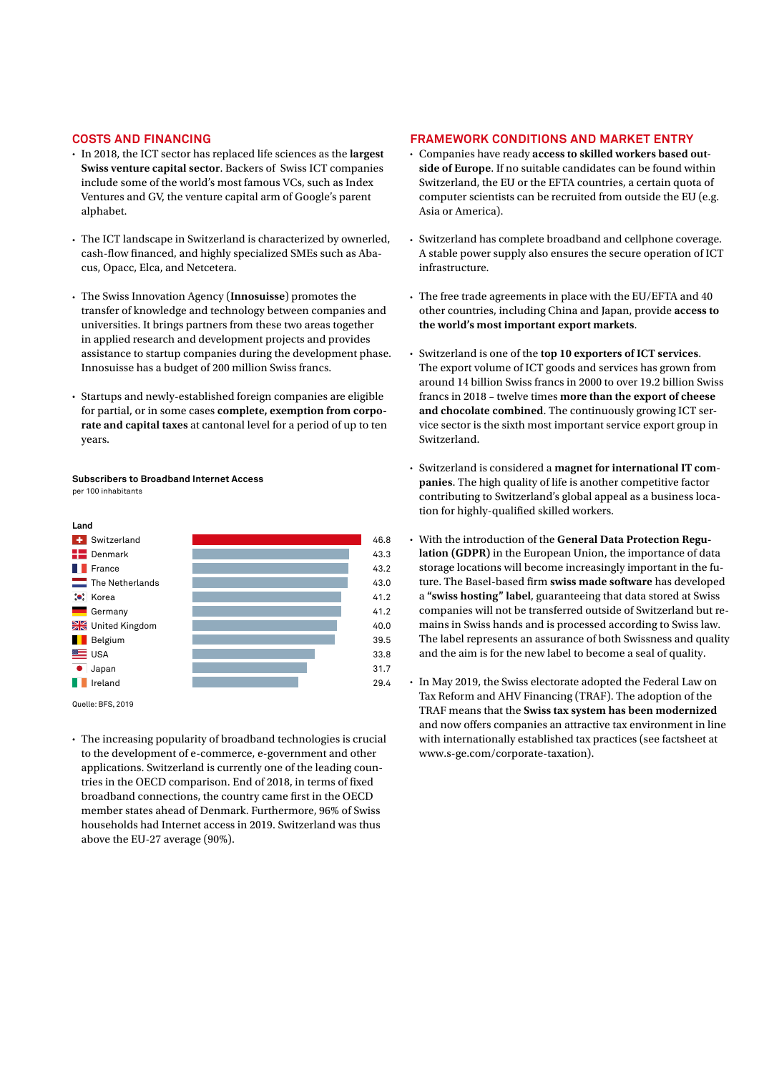#### **COSTS AND FINANCING**

- In 2018, the ICT sector has replaced life sciences as the **largest Swiss venture capital sector**. Backers of Swiss ICT companies include some of the world's most famous VCs, such as Index Ventures and GV, the venture capital arm of Google's parent alphabet.
- The ICT landscape in Switzerland is characterized by ownerled, cash-flow financed, and highly specialized SMEs such as Abacus, Opacc, Elca, and Netcetera.
- The Swiss Innovation Agency (**Innosuisse**) promotes the transfer of knowledge and technology between companies and universities. It brings partners from these two areas together in applied research and development projects and provides assistance to startup companies during the development phase. Innosuisse has a budget of 200 million Swiss francs.
- Startups and newly-established foreign companies are eligible for partial, or in some cases **complete, exemption from corporate and capital taxes** at cantonal level for a period of up to ten years.

### **Subscribers to Broadband Internet Access**

per 100 inhabitants



Quelle: BFS, 2019

• The increasing popularity of broadband technologies is crucial to the development of e-commerce, e-government and other applications. Switzerland is currently one of the leading countries in the OECD comparison. End of 2018, in terms of fixed broadband connections, the country came first in the OECD member states ahead of Denmark. Furthermore, 96% of Swiss households had Internet access in 2019. Switzerland was thus above the EU-27 average (90%).

#### **FRAMEWORK CONDITIONS AND MARKET ENTRY**

- Companies have ready **access to skilled workers based outside of Europe**. If no suitable candidates can be found within Switzerland, the EU or the EFTA countries, a certain quota of computer scientists can be recruited from outside the EU (e.g. Asia or America).
- Switzerland has complete broadband and cellphone coverage. A stable power supply also ensures the secure operation of ICT infrastructure.
- The free trade agreements in place with the EU/EFTA and 40 other countries, including China and Japan, provide **access to the world's most important export markets**.
- Switzerland is one of the **top 10 exporters of ICT services**. The export volume of ICT goods and services has grown from around 14 billion Swiss francs in 2000 to over 19.2 billion Swiss francs in 2018 – twelve times **more than the export of cheese and chocolate combined**. The continuously growing ICT service sector is the sixth most important service export group in Switzerland.
- Switzerland is considered a **magnet for international IT companies**. The high quality of life is another competitive factor contributing to Switzerland's global appeal as a business location for highly-qualified skilled workers.
- With the introduction of the **General Data Protection Regulation (GDPR)** in the European Union, the importance of data storage locations will become increasingly important in the future. The Basel-based firm **swiss made software** has developed a **"swiss hosting" label**, guaranteeing that data stored at Swiss companies will not be transferred outside of Switzerland but remains in Swiss hands and is processed according to Swiss law. The label represents an assurance of both Swissness and quality and the aim is for the new label to become a seal of quality.
- In May 2019, the Swiss electorate adopted the Federal Law on Tax Reform and AHV Financing (TRAF). The adoption of the TRAF means that the **Swiss tax system has been modernized** and now offers companies an attractive tax environment in line with internationally established tax practices (see factsheet at [www.s-ge.com/corporate-taxation\)](https://www.s-ge.com/corporate-taxation).